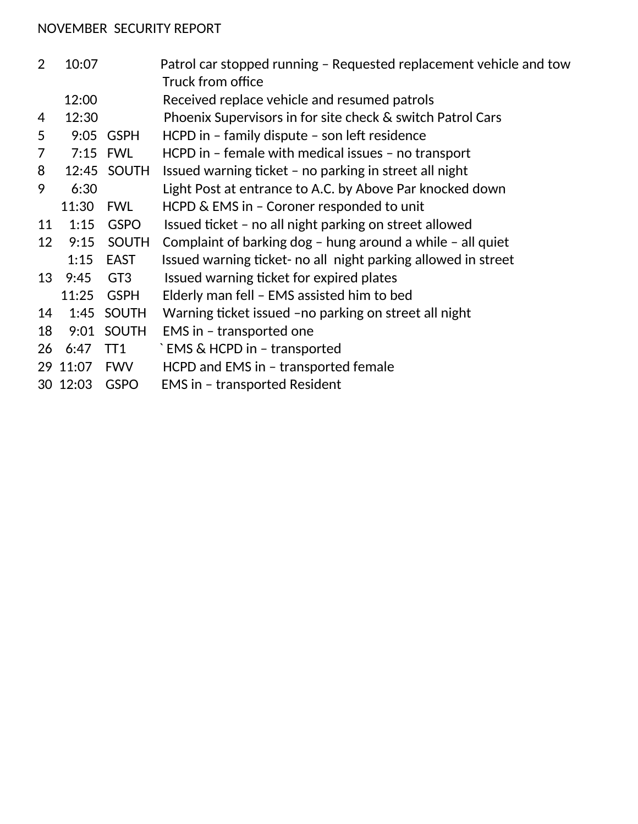## NOVEMBER SECURITY REPORT

| 2              | 10:07    |                 | Patrol car stopped running - Requested replacement vehicle and tow |
|----------------|----------|-----------------|--------------------------------------------------------------------|
|                |          |                 | Truck from office                                                  |
|                | 12:00    |                 | Received replace vehicle and resumed patrols                       |
| 4              | 12:30    |                 | Phoenix Supervisors in for site check & switch Patrol Cars         |
| 5              | 9:05     | <b>GSPH</b>     | HCPD in - family dispute - son left residence                      |
| $\overline{7}$ |          | 7:15 FWL        | HCPD in - female with medical issues - no transport                |
| 8              | 12:45    | SOUTH           | Issued warning ticket – no parking in street all night             |
| 9              | 6:30     |                 | Light Post at entrance to A.C. by Above Par knocked down           |
|                | 11:30    | FWL             | HCPD & EMS in - Coroner responded to unit                          |
| 11             | 1:15     | <b>GSPO</b>     | Issued ticket - no all night parking on street allowed             |
| 12             | 9:15     | <b>SOUTH</b>    | Complaint of barking $\log$ - hung around a while - all quiet      |
|                | 1:15     | EAST            | Issued warning ticket- no all night parking allowed in street      |
| 13             | 9:45     | GT <sub>3</sub> | Issued warning ticket for expired plates                           |
|                |          | 11:25 GSPH      | Elderly man fell - EMS assisted him to bed                         |
| 14             |          | 1:45 SOUTH      | Warning ticket issued -no parking on street all night              |
| 18             | 9:01     | <b>SOUTH</b>    | EMS in - transported one                                           |
| 26             | 6:47     | TT <sub>1</sub> | `EMS & HCPD in - transported                                       |
|                | 29 11:07 | <b>FWV</b>      | HCPD and EMS in - transported female                               |
|                | 30 12:03 | <b>GSPO</b>     | <b>EMS in - transported Resident</b>                               |